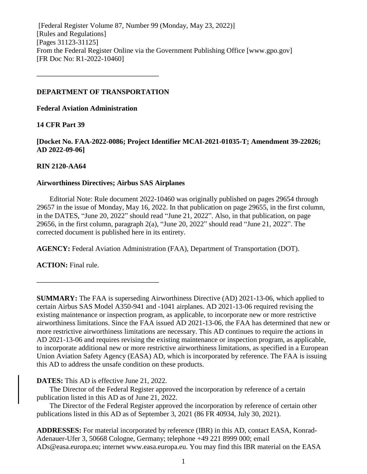[Federal Register Volume 87, Number 99 (Monday, May 23, 2022)] [Rules and Regulations] [Pages 31123-31125] From the Federal Register Online via the Government Publishing Office [www.gpo.gov] [FR Doc No: R1-2022-10460]

## **DEPARTMENT OF TRANSPORTATION**

**––––––––––––––––––––––––––––––––––**

**Federal Aviation Administration**

# **14 CFR Part 39**

**[Docket No. FAA-2022-0086; Project Identifier MCAI-2021-01035-T; Amendment 39-22026; AD 2022-09-06]**

# **RIN 2120-AA64**

# **Airworthiness Directives; Airbus SAS Airplanes**

Editorial Note: Rule document 2022-10460 was originally published on pages 29654 through 29657 in the issue of Monday, May 16, 2022. In that publication on page 29655, in the first column, in the DATES, "June 20, 2022" should read "June 21, 2022". Also, in that publication, on page 29656, in the first column, paragraph 2(a), "June 20, 2022" should read "June 21, 2022". The corrected document is published here in its entirety.

**AGENCY:** Federal Aviation Administration (FAA), Department of Transportation (DOT).

**ACTION:** Final rule.

**SUMMARY:** The FAA is superseding Airworthiness Directive (AD) 2021-13-06, which applied to certain Airbus SAS Model A350-941 and -1041 airplanes. AD 2021-13-06 required revising the existing maintenance or inspection program, as applicable, to incorporate new or more restrictive airworthiness limitations. Since the FAA issued AD 2021-13-06, the FAA has determined that new or more restrictive airworthiness limitations are necessary. This AD continues to require the actions in AD 2021-13-06 and requires revising the existing maintenance or inspection program, as applicable, to incorporate additional new or more restrictive airworthiness limitations, as specified in a European Union Aviation Safety Agency (EASA) AD, which is incorporated by reference. The FAA is issuing this AD to address the unsafe condition on these products.

# **DATES:** This AD is effective June 21, 2022.

**––––––––––––––––––––––––––––––––––**

The Director of the Federal Register approved the incorporation by reference of a certain publication listed in this AD as of June 21, 2022.

The Director of the Federal Register approved the incorporation by reference of certain other publications listed in this AD as of September 3, 2021 (86 FR 40934, July 30, 2021).

**ADDRESSES:** For material incorporated by reference (IBR) in this AD, contact EASA, Konrad-Adenauer-Ufer 3, 50668 Cologne, Germany; telephone +49 221 8999 000; email ADs@easa.europa.eu; internet www.easa.europa.eu. You may find this IBR material on the EASA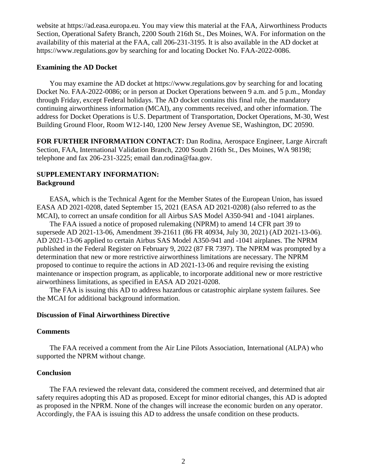website at https://ad.easa.europa.eu. You may view this material at the FAA, Airworthiness Products Section, Operational Safety Branch, 2200 South 216th St., Des Moines, WA. For information on the availability of this material at the FAA, call 206-231-3195. It is also available in the AD docket at https://www.regulations.gov by searching for and locating Docket No. FAA-2022-0086.

## **Examining the AD Docket**

You may examine the AD docket at https://www.regulations.gov by searching for and locating Docket No. FAA-2022-0086; or in person at Docket Operations between 9 a.m. and 5 p.m., Monday through Friday, except Federal holidays. The AD docket contains this final rule, the mandatory continuing airworthiness information (MCAI), any comments received, and other information. The address for Docket Operations is U.S. Department of Transportation, Docket Operations, M-30, West Building Ground Floor, Room W12-140, 1200 New Jersey Avenue SE, Washington, DC 20590.

**FOR FURTHER INFORMATION CONTACT:** Dan Rodina, Aerospace Engineer, Large Aircraft Section, FAA, International Validation Branch, 2200 South 216th St., Des Moines, WA 98198; telephone and fax 206-231-3225; email dan.rodina@faa.gov.

# **SUPPLEMENTARY INFORMATION: Background**

EASA, which is the Technical Agent for the Member States of the European Union, has issued EASA AD 2021-0208, dated September 15, 2021 (EASA AD 2021-0208) (also referred to as the MCAI), to correct an unsafe condition for all Airbus SAS Model A350-941 and -1041 airplanes.

The FAA issued a notice of proposed rulemaking (NPRM) to amend 14 CFR part 39 to supersede AD 2021-13-06, Amendment 39-21611 (86 FR 40934, July 30, 2021) (AD 2021-13-06). AD 2021-13-06 applied to certain Airbus SAS Model A350-941 and -1041 airplanes. The NPRM published in the Federal Register on February 9, 2022 (87 FR 7397). The NPRM was prompted by a determination that new or more restrictive airworthiness limitations are necessary. The NPRM proposed to continue to require the actions in AD 2021-13-06 and require revising the existing maintenance or inspection program, as applicable, to incorporate additional new or more restrictive airworthiness limitations, as specified in EASA AD 2021-0208.

The FAA is issuing this AD to address hazardous or catastrophic airplane system failures. See the MCAI for additional background information.

## **Discussion of Final Airworthiness Directive**

#### **Comments**

The FAA received a comment from the Air Line Pilots Association, International (ALPA) who supported the NPRM without change.

## **Conclusion**

The FAA reviewed the relevant data, considered the comment received, and determined that air safety requires adopting this AD as proposed. Except for minor editorial changes, this AD is adopted as proposed in the NPRM. None of the changes will increase the economic burden on any operator. Accordingly, the FAA is issuing this AD to address the unsafe condition on these products.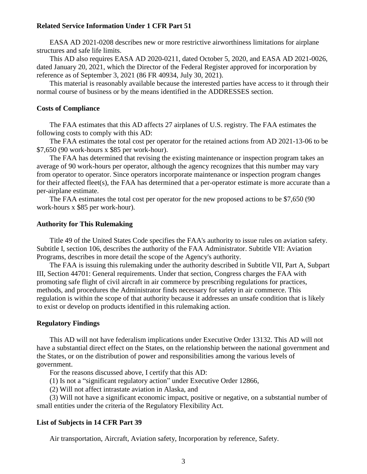## **Related Service Information Under 1 CFR Part 51**

EASA AD 2021-0208 describes new or more restrictive airworthiness limitations for airplane structures and safe life limits.

This AD also requires EASA AD 2020-0211, dated October 5, 2020, and EASA AD 2021-0026, dated January 20, 2021, which the Director of the Federal Register approved for incorporation by reference as of September 3, 2021 (86 FR 40934, July 30, 2021).

This material is reasonably available because the interested parties have access to it through their normal course of business or by the means identified in the ADDRESSES section.

## **Costs of Compliance**

The FAA estimates that this AD affects 27 airplanes of U.S. registry. The FAA estimates the following costs to comply with this AD:

The FAA estimates the total cost per operator for the retained actions from AD 2021-13-06 to be \$7,650 (90 work-hours x \$85 per work-hour).

The FAA has determined that revising the existing maintenance or inspection program takes an average of 90 work-hours per operator, although the agency recognizes that this number may vary from operator to operator. Since operators incorporate maintenance or inspection program changes for their affected fleet(s), the FAA has determined that a per-operator estimate is more accurate than a per-airplane estimate.

The FAA estimates the total cost per operator for the new proposed actions to be \$7,650 (90 work-hours x \$85 per work-hour).

#### **Authority for This Rulemaking**

Title 49 of the United States Code specifies the FAA's authority to issue rules on aviation safety. Subtitle I, section 106, describes the authority of the FAA Administrator. Subtitle VII: Aviation Programs, describes in more detail the scope of the Agency's authority.

The FAA is issuing this rulemaking under the authority described in Subtitle VII, Part A, Subpart III, Section 44701: General requirements. Under that section, Congress charges the FAA with promoting safe flight of civil aircraft in air commerce by prescribing regulations for practices, methods, and procedures the Administrator finds necessary for safety in air commerce. This regulation is within the scope of that authority because it addresses an unsafe condition that is likely to exist or develop on products identified in this rulemaking action.

## **Regulatory Findings**

This AD will not have federalism implications under Executive Order 13132. This AD will not have a substantial direct effect on the States, on the relationship between the national government and the States, or on the distribution of power and responsibilities among the various levels of government.

For the reasons discussed above, I certify that this AD:

(1) Is not a "significant regulatory action" under Executive Order 12866,

(2) Will not affect intrastate aviation in Alaska, and

(3) Will not have a significant economic impact, positive or negative, on a substantial number of small entities under the criteria of the Regulatory Flexibility Act.

#### **List of Subjects in 14 CFR Part 39**

Air transportation, Aircraft, Aviation safety, Incorporation by reference, Safety.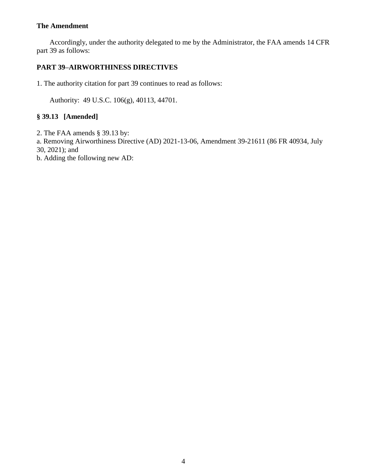# **The Amendment**

Accordingly, under the authority delegated to me by the Administrator, the FAA amends 14 CFR part 39 as follows:

# **PART 39–AIRWORTHINESS DIRECTIVES**

1. The authority citation for part 39 continues to read as follows:

Authority: 49 U.S.C. 106(g), 40113, 44701.

# **§ 39.13 [Amended]**

2. The FAA amends § 39.13 by:

a. Removing Airworthiness Directive (AD) 2021-13-06, Amendment 39-21611 (86 FR 40934, July 30, 2021); and

b. Adding the following new AD: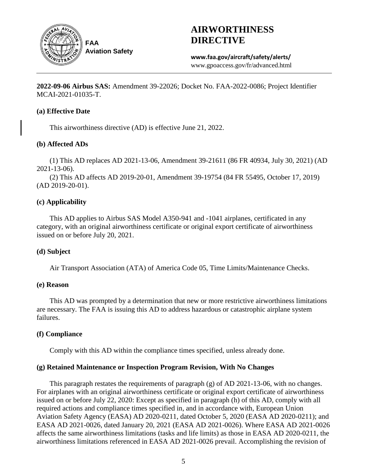

# **AIRWORTHINESS DIRECTIVE**

**www.faa.gov/aircraft/safety/alerts/** www.gpoaccess.gov/fr/advanced.html

**2022-09-06 Airbus SAS:** Amendment 39-22026; Docket No. FAA-2022-0086; Project Identifier MCAI-2021-01035-T.

# **(a) Effective Date**

This airworthiness directive (AD) is effective June 21, 2022.

# **(b) Affected ADs**

(1) This AD replaces AD 2021-13-06, Amendment 39-21611 (86 FR 40934, July 30, 2021) (AD 2021-13-06).

(2) This AD affects AD 2019-20-01, Amendment 39-19754 (84 FR 55495, October 17, 2019) (AD 2019-20-01).

# **(c) Applicability**

This AD applies to Airbus SAS Model A350-941 and -1041 airplanes, certificated in any category, with an original airworthiness certificate or original export certificate of airworthiness issued on or before July 20, 2021.

# **(d) Subject**

Air Transport Association (ATA) of America Code 05, Time Limits/Maintenance Checks.

# **(e) Reason**

This AD was prompted by a determination that new or more restrictive airworthiness limitations are necessary. The FAA is issuing this AD to address hazardous or catastrophic airplane system failures.

# **(f) Compliance**

Comply with this AD within the compliance times specified, unless already done.

# **(g) Retained Maintenance or Inspection Program Revision, With No Changes**

This paragraph restates the requirements of paragraph (g) of AD 2021-13-06, with no changes. For airplanes with an original airworthiness certificate or original export certificate of airworthiness issued on or before July 22, 2020: Except as specified in paragraph (h) of this AD, comply with all required actions and compliance times specified in, and in accordance with, European Union Aviation Safety Agency (EASA) AD 2020-0211, dated October 5, 2020 (EASA AD 2020-0211); and EASA AD 2021-0026, dated January 20, 2021 (EASA AD 2021-0026). Where EASA AD 2021-0026 affects the same airworthiness limitations (tasks and life limits) as those in EASA AD 2020-0211, the airworthiness limitations referenced in EASA AD 2021-0026 prevail. Accomplishing the revision of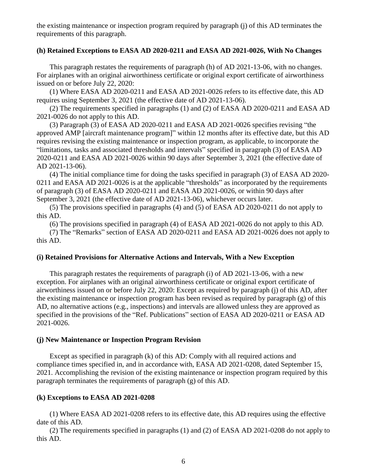the existing maintenance or inspection program required by paragraph (j) of this AD terminates the requirements of this paragraph.

## **(h) Retained Exceptions to EASA AD 2020-0211 and EASA AD 2021-0026, With No Changes**

This paragraph restates the requirements of paragraph (h) of AD 2021-13-06, with no changes. For airplanes with an original airworthiness certificate or original export certificate of airworthiness issued on or before July 22, 2020:

(1) Where EASA AD 2020-0211 and EASA AD 2021-0026 refers to its effective date, this AD requires using September 3, 2021 (the effective date of AD 2021-13-06).

(2) The requirements specified in paragraphs (1) and (2) of EASA AD 2020-0211 and EASA AD 2021-0026 do not apply to this AD.

(3) Paragraph (3) of EASA AD 2020-0211 and EASA AD 2021-0026 specifies revising "the approved AMP [aircraft maintenance program]" within 12 months after its effective date, but this AD requires revising the existing maintenance or inspection program, as applicable, to incorporate the "limitations, tasks and associated thresholds and intervals" specified in paragraph (3) of EASA AD 2020-0211 and EASA AD 2021-0026 within 90 days after September 3, 2021 (the effective date of AD 2021-13-06).

(4) The initial compliance time for doing the tasks specified in paragraph (3) of EASA AD 2020- 0211 and EASA AD 2021-0026 is at the applicable "thresholds" as incorporated by the requirements of paragraph (3) of EASA AD 2020-0211 and EASA AD 2021-0026, or within 90 days after September 3, 2021 (the effective date of AD 2021-13-06), whichever occurs later.

(5) The provisions specified in paragraphs (4) and (5) of EASA AD 2020-0211 do not apply to this AD.

(6) The provisions specified in paragraph (4) of EASA AD 2021-0026 do not apply to this AD.

(7) The "Remarks" section of EASA AD 2020-0211 and EASA AD 2021-0026 does not apply to this AD.

# **(i) Retained Provisions for Alternative Actions and Intervals, With a New Exception**

This paragraph restates the requirements of paragraph (i) of AD 2021-13-06, with a new exception. For airplanes with an original airworthiness certificate or original export certificate of airworthiness issued on or before July 22, 2020: Except as required by paragraph (j) of this AD, after the existing maintenance or inspection program has been revised as required by paragraph (g) of this AD, no alternative actions (e.g., inspections) and intervals are allowed unless they are approved as specified in the provisions of the "Ref. Publications" section of EASA AD 2020-0211 or EASA AD 2021-0026.

## **(j) New Maintenance or Inspection Program Revision**

Except as specified in paragraph (k) of this AD: Comply with all required actions and compliance times specified in, and in accordance with, EASA AD 2021-0208, dated September 15, 2021. Accomplishing the revision of the existing maintenance or inspection program required by this paragraph terminates the requirements of paragraph (g) of this AD.

# **(k) Exceptions to EASA AD 2021-0208**

(1) Where EASA AD 2021-0208 refers to its effective date, this AD requires using the effective date of this AD.

(2) The requirements specified in paragraphs (1) and (2) of EASA AD 2021-0208 do not apply to this AD.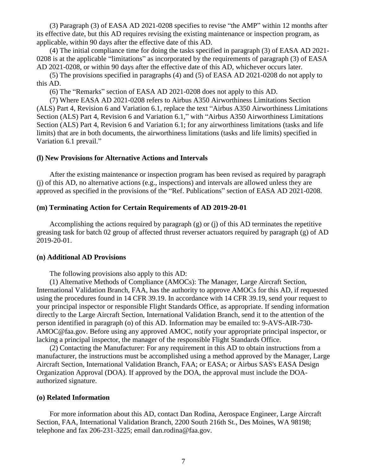(3) Paragraph (3) of EASA AD 2021-0208 specifies to revise "the AMP" within 12 months after its effective date, but this AD requires revising the existing maintenance or inspection program, as applicable, within 90 days after the effective date of this AD.

(4) The initial compliance time for doing the tasks specified in paragraph (3) of EASA AD 2021- 0208 is at the applicable "limitations" as incorporated by the requirements of paragraph (3) of EASA AD 2021-0208, or within 90 days after the effective date of this AD, whichever occurs later.

(5) The provisions specified in paragraphs (4) and (5) of EASA AD 2021-0208 do not apply to this AD.

(6) The "Remarks" section of EASA AD 2021-0208 does not apply to this AD.

(7) Where EASA AD 2021-0208 refers to Airbus A350 Airworthiness Limitations Section (ALS) Part 4, Revision 6 and Variation 6.1, replace the text "Airbus A350 Airworthiness Limitations Section (ALS) Part 4, Revision 6 and Variation 6.1," with "Airbus A350 Airworthiness Limitations Section (ALS) Part 4, Revision 6 and Variation 6.1; for any airworthiness limitations (tasks and life limits) that are in both documents, the airworthiness limitations (tasks and life limits) specified in Variation 6.1 prevail."

#### **(l) New Provisions for Alternative Actions and Intervals**

After the existing maintenance or inspection program has been revised as required by paragraph (j) of this AD, no alternative actions (e.g., inspections) and intervals are allowed unless they are approved as specified in the provisions of the "Ref. Publications" section of EASA AD 2021-0208.

#### **(m) Terminating Action for Certain Requirements of AD 2019-20-01**

Accomplishing the actions required by paragraph (g) or (j) of this AD terminates the repetitive greasing task for batch 02 group of affected thrust reverser actuators required by paragraph (g) of AD 2019-20-01.

#### **(n) Additional AD Provisions**

The following provisions also apply to this AD:

(1) Alternative Methods of Compliance (AMOCs): The Manager, Large Aircraft Section, International Validation Branch, FAA, has the authority to approve AMOCs for this AD, if requested using the procedures found in 14 CFR 39.19. In accordance with 14 CFR 39.19, send your request to your principal inspector or responsible Flight Standards Office, as appropriate. If sending information directly to the Large Aircraft Section, International Validation Branch, send it to the attention of the person identified in paragraph (o) of this AD. Information may be emailed to: 9-AVS-AIR-730- AMOC@faa.gov. Before using any approved AMOC, notify your appropriate principal inspector, or lacking a principal inspector, the manager of the responsible Flight Standards Office.

(2) Contacting the Manufacturer: For any requirement in this AD to obtain instructions from a manufacturer, the instructions must be accomplished using a method approved by the Manager, Large Aircraft Section, International Validation Branch, FAA; or EASA; or Airbus SAS's EASA Design Organization Approval (DOA). If approved by the DOA, the approval must include the DOAauthorized signature.

#### **(o) Related Information**

For more information about this AD, contact Dan Rodina, Aerospace Engineer, Large Aircraft Section, FAA, International Validation Branch, 2200 South 216th St., Des Moines, WA 98198; telephone and fax 206-231-3225; email dan.rodina@faa.gov.